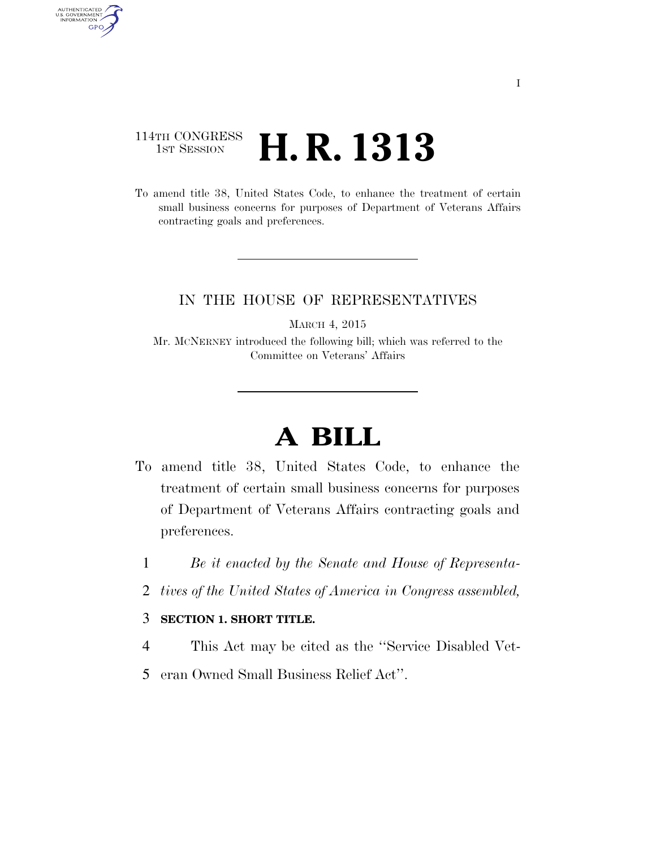## 114TH CONGRESS 1st Session **H. R. 1313**

AUTHENTICATED<br>U.S. GOVERNMENT<br>INFORMATION

GPO

To amend title 38, United States Code, to enhance the treatment of certain small business concerns for purposes of Department of Veterans Affairs contracting goals and preferences.

## IN THE HOUSE OF REPRESENTATIVES

MARCH 4, 2015

Mr. MCNERNEY introduced the following bill; which was referred to the Committee on Veterans' Affairs

## **A BILL**

- To amend title 38, United States Code, to enhance the treatment of certain small business concerns for purposes of Department of Veterans Affairs contracting goals and preferences.
	- 1 *Be it enacted by the Senate and House of Representa-*
	- 2 *tives of the United States of America in Congress assembled,*

## 3 **SECTION 1. SHORT TITLE.**

- 4 This Act may be cited as the ''Service Disabled Vet-
- 5 eran Owned Small Business Relief Act''.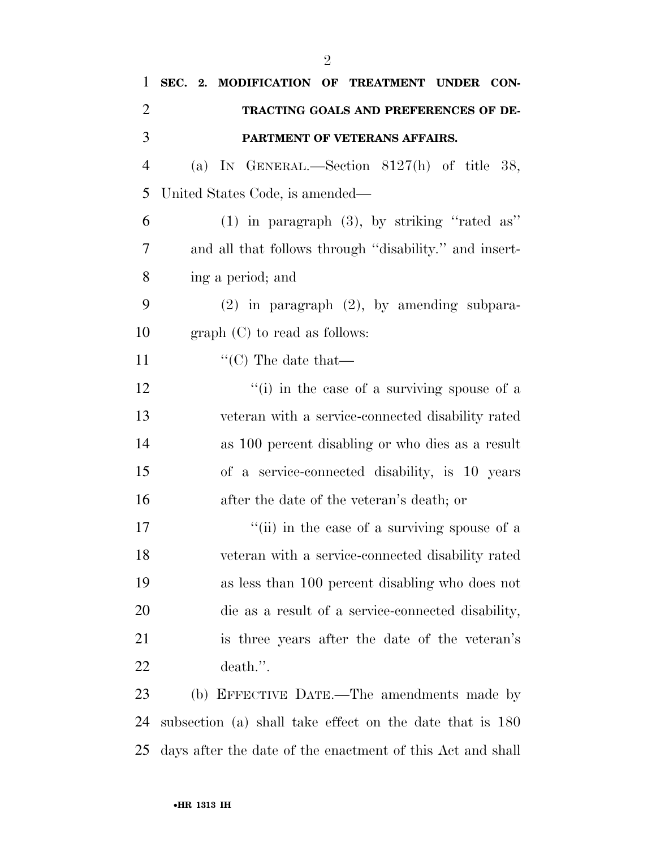| 1              | SEC. 2. MODIFICATION OF TREATMENT UNDER CON-               |
|----------------|------------------------------------------------------------|
| $\overline{2}$ | TRACTING GOALS AND PREFERENCES OF DE-                      |
| 3              | PARTMENT OF VETERANS AFFAIRS.                              |
| $\overline{4}$ | (a) IN GENERAL.—Section $8127(h)$ of title 38,             |
| 5              | United States Code, is amended—                            |
| 6              | $(1)$ in paragraph $(3)$ , by striking "rated as"          |
| 7              | and all that follows through "disability." and insert-     |
| 8              | ing a period; and                                          |
| 9              | $(2)$ in paragraph $(2)$ , by amending subpara-            |
| 10             | $graph (C)$ to read as follows:                            |
| 11             | "(C) The date that—                                        |
| 12             | "(i) in the case of a surviving spouse of a                |
| 13             | veteran with a service-connected disability rated          |
| 14             | as 100 percent disabling or who dies as a result           |
| 15             | of a service-connected disability, is 10 years             |
| 16             | after the date of the veteran's death; or                  |
| 17             | "(ii) in the case of a surviving spouse of a               |
| 18             | veteran with a service-connected disability rated          |
| 19             | as less than 100 percent disabling who does not            |
| 20             | die as a result of a service-connected disability,         |
| 21             | is three years after the date of the veteran's             |
| 22             | death.".                                                   |
| 23             | (b) EFFECTIVE DATE.—The amendments made by                 |
| 24             | subsection (a) shall take effect on the date that is 180   |
| 25             | days after the date of the enactment of this Act and shall |